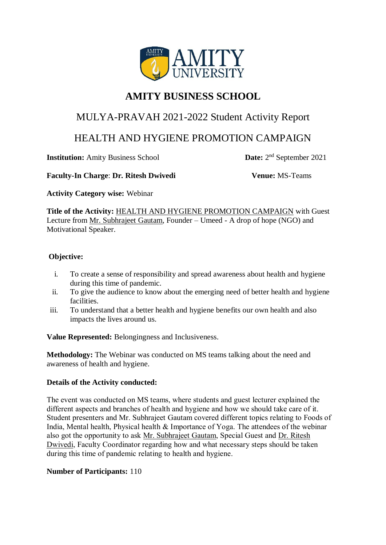

# **AMITY BUSINESS SCHOOL**

# MULYA-PRAVAH 2021-2022 Student Activity Report

# HEALTH AND HYGIENE PROMOTION CAMPAIGN

**Institution:** Amity Business School

Date:  $2<sup>nd</sup>$  September 2021

#### **Faculty-In Charge**: **Dr. Ritesh Dwivedi Venue:** MS-Teams

**Activity Category wise:** Webinar

**Title of the Activity:** HEALTH AND HYGIENE PROMOTION CAMPAIGN with Guest Lecture from Mr. Subhrajeet Gautam, Founder – Umeed - A drop of hope (NGO) and Motivational Speaker.

## **Objective:**

- i. To create a sense of responsibility and spread awareness about health and hygiene during this time of pandemic.
- ii. To give the audience to know about the emerging need of better health and hygiene facilities.
- iii. To understand that a better health and hygiene benefits our own health and also impacts the lives around us.

**Value Represented:** Belongingness and Inclusiveness.

**Methodology:** The Webinar was conducted on MS teams talking about the need and awareness of health and hygiene.

### **Details of the Activity conducted:**

The event was conducted on MS teams, where students and guest lecturer explained the different aspects and branches of health and hygiene and how we should take care of it. Student presenters and Mr. Subhrajeet Gautam covered different topics relating to Foods of India, Mental health, Physical health & Importance of Yoga. The attendees of the webinar also got the opportunity to ask Mr. Subhrajeet Gautam, Special Guest and Dr. Ritesh Dwivedi, Faculty Coordinator regarding how and what necessary steps should be taken during this time of pandemic relating to health and hygiene.

### **Number of Participants:** 110